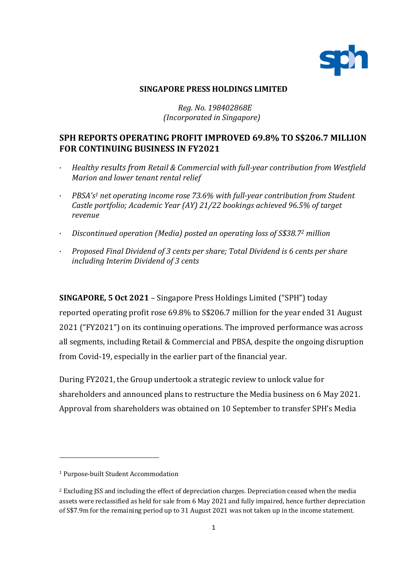

### **SINGAPORE PRESS HOLDINGS LIMITED**

## *Reg. No. 198402868E (Incorporated in Singapore)*

# **SPH REPORTS OPERATING PROFIT IMPROVED 69.8% TO S\$206.7 MILLION FOR CONTINUING BUSINESS IN FY2021**

- · *Healthy results from Retail & Commercial with full-year contribution from Westfield Marion and lower tenant rental relief*
- · *PBSA's<sup>1</sup> net operating income rose 73.6% with full-year contribution from Student Castle portfolio; Academic Year (AY) 21/22 bookings achieved 96.5% of target revenue*
- · *Discontinued operation (Media) posted an operating loss of S\$38.7<sup>2</sup> million*
- · *Proposed Final Dividend of 3 cents per share; Total Dividend is 6 cents per share including Interim Dividend of 3 cents*

**SINGAPORE, 5 Oct 2021** – Singapore Press Holdings Limited ("SPH") today

reported operating profit rose 69.8% to S\$206.7 million for the year ended 31 August 2021 ("FY2021") on its continuing operations. The improved performance was across all segments, including Retail & Commercial and PBSA, despite the ongoing disruption from Covid-19, especially in the earlier part of the financial year.

During FY2021, the Group undertook a strategic review to unlock value for shareholders and announced plans to restructure the Media business on 6 May 2021. Approval from shareholders was obtained on 10 September to transfer SPH's Media

 $\overline{a}$ 

<sup>1</sup> Purpose-built Student Accommodation

<sup>&</sup>lt;sup>2</sup> Excluding JSS and including the effect of depreciation charges. Depreciation ceased when the media assets were reclassified as held for sale from 6 May 2021 and fully impaired, hence further depreciation of S\$7.9m for the remaining period up to 31 August 2021 was not taken up in the income statement.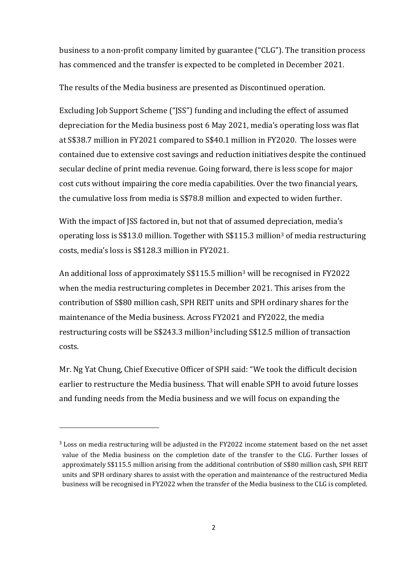business to a non-profit company limited by guarantee ("CLG"). The transition process has commenced and the transfer is expected to be completed in December 2021.

The results of the Media business are presented as Discontinued operation.

Excluding Job Support Scheme ("JSS") funding and including the effect of assumed depreciation for the Media business post 6 May 2021, media's operating loss was flat at S\$38.7 million in FY2021 compared to S\$40.1 million in FY2020. The losses were contained due to extensive cost savings and reduction initiatives despite the continued secular decline of print media revenue. Going forward, there is less scope for major cost cuts without impairing the core media capabilities. Over the two financial years, the cumulative loss from media is S\$78.8 million and expected to widen further.

With the impact of JSS factored in, but not that of assumed depreciation, media's operating loss is S\$13.0 million. Together with S\$115.3 million<sup>3</sup> of media restructuring costs, media's loss is S\$128.3 million in FY2021.

An additional loss of approximately S\$115.5 million<sup>3</sup> will be recognised in FY2022 when the media restructuring completes in December 2021. This arises from the contribution of S\$80 million cash, SPH REIT units and SPH ordinary shares for the maintenance of the Media business. Across FY2021 and FY2022, the media restructuring costs will be  $$243.3$  million<sup>3</sup> including  $$12.5$  million of transaction costs.

Mr. Ng Yat Chung, Chief Executive Officer of SPH said: "We took the difficult decision earlier to restructure the Media business. That will enable SPH to avoid future losses and funding needs from the Media business and we will focus on expanding the

 $\overline{a}$ 

<sup>&</sup>lt;sup>3</sup> Loss on media restructuring will be adjusted in the FY2022 income statement based on the net asset value of the Media business on the completion date of the transfer to the CLG. Further losses of approximately S\$115.5 million arising from the additional contribution of S\$80 million cash, SPH REIT units and SPH ordinary shares to assist with the operation and maintenance of the restructured Media business will be recognised in FY2022 when the transfer of the Media business to the CLG is completed.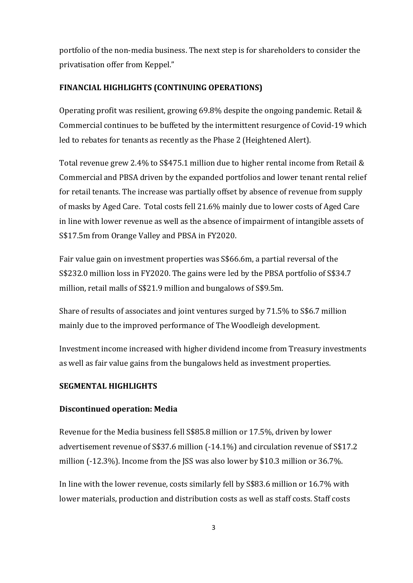portfolio of the non-media business. The next step is for shareholders to consider the privatisation offer from Keppel."

### **FINANCIAL HIGHLIGHTS (CONTINUING OPERATIONS)**

Operating profit was resilient, growing 69.8% despite the ongoing pandemic. Retail & Commercial continues to be buffeted by the intermittent resurgence of Covid-19 which led to rebates for tenants as recently as the Phase 2 (Heightened Alert).

Total revenue grew 2.4% to S\$475.1 million due to higher rental income from Retail & Commercial and PBSA driven by the expanded portfolios and lower tenant rental relief for retail tenants. The increase was partially offset by absence of revenue from supply of masks by Aged Care. Total costs fell 21.6% mainly due to lower costs of Aged Care in line with lower revenue as well as the absence of impairment of intangible assets of S\$17.5m from Orange Valley and PBSA in FY2020.

Fair value gain on investment properties was S\$66.6m, a partial reversal of the S\$232.0 million loss in FY2020. The gains were led by the PBSA portfolio of S\$34.7 million, retail malls of S\$21.9 million and bungalows of S\$9.5m.

Share of results of associates and joint ventures surged by 71.5% to S\$6.7 million mainly due to the improved performance of The Woodleigh development.

Investment income increased with higher dividend income from Treasury investments as well as fair value gains from the bungalows held as investment properties.

#### **SEGMENTAL HIGHLIGHTS**

#### **Discontinued operation: Media**

Revenue for the Media business fell S\$85.8 million or 17.5%, driven by lower advertisement revenue of S\$37.6 million (-14.1%) and circulation revenue of S\$17.2 million (-12.3%). Income from the JSS was also lower by \$10.3 million or 36.7%.

In line with the lower revenue, costs similarly fell by S\$83.6 million or 16.7% with lower materials, production and distribution costs as well as staff costs. Staff costs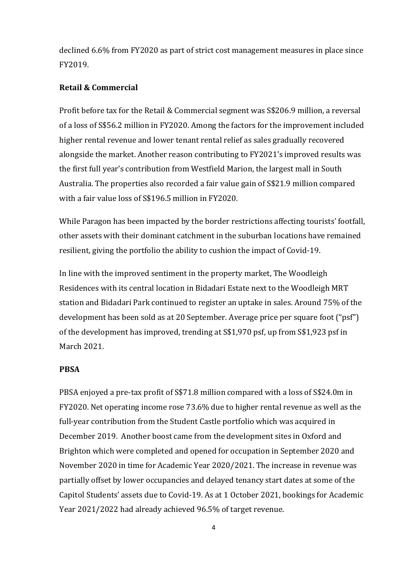declined 6.6% from FY2020 as part of strict cost management measures in place since FY2019.

### **Retail & Commercial**

Profit before tax for the Retail & Commercial segment was S\$206.9 million, a reversal of a loss of S\$56.2 million in FY2020. Among the factors for the improvement included higher rental revenue and lower tenant rental relief as sales gradually recovered alongside the market. Another reason contributing to FY2021's improved results was the first full year's contribution from Westfield Marion, the largest mall in South Australia. The properties also recorded a fair value gain of S\$21.9 million compared with a fair value loss of S\$196.5 million in FY2020.

While Paragon has been impacted by the border restrictions affecting tourists' footfall, other assets with their dominant catchment in the suburban locations have remained resilient, giving the portfolio the ability to cushion the impact of Covid-19.

In line with the improved sentiment in the property market, The Woodleigh Residences with its central location in Bidadari Estate next to the Woodleigh MRT station and Bidadari Park continued to register an uptake in sales. Around 75% of the development has been sold as at 20 September. Average price per square foot ("psf") of the development has improved, trending at S\$1,970 psf, up from S\$1,923 psf in March 2021.

#### **PBSA**

PBSA enjoyed a pre-tax profit of S\$71.8 million compared with a loss of S\$24.0m in FY2020. Net operating income rose 73.6% due to higher rental revenue as well as the full-year contribution from the Student Castle portfolio which was acquired in December 2019. Another boost came from the development sites in Oxford and Brighton which were completed and opened for occupation in September 2020 and November 2020 in time for Academic Year 2020/2021. The increase in revenue was partially offset by lower occupancies and delayed tenancy start dates at some of the Capitol Students' assets due to Covid-19. As at 1 October 2021, bookings for Academic Year 2021/2022 had already achieved 96.5% of target revenue.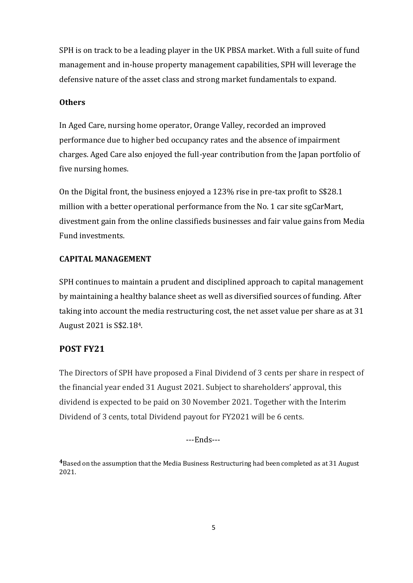SPH is on track to be a leading player in the UK PBSA market. With a full suite of fund management and in-house property management capabilities, SPH will leverage the defensive nature of the asset class and strong market fundamentals to expand.

### **Others**

In Aged Care, nursing home operator, Orange Valley, recorded an improved performance due to higher bed occupancy rates and the absence of impairment charges. Aged Care also enjoyed the full-year contribution from the Japan portfolio of five nursing homes.

On the Digital front, the business enjoyed a 123% rise in pre-tax profit to S\$28.1 million with a better operational performance from the No. 1 car site sgCarMart, divestment gain from the online classifieds businesses and fair value gains from Media Fund investments.

# **CAPITAL MANAGEMENT**

SPH continues to maintain a prudent and disciplined approach to capital management by maintaining a healthy balance sheet as well as diversified sources of funding. After taking into account the media restructuring cost, the net asset value per share as at 31 August 2021 is S\$2.184.

# **POST FY21**

The Directors of SPH have proposed a Final Dividend of 3 cents per share in respect of the financial year ended 31 August 2021. Subject to shareholders' approval, this dividend is expected to be paid on 30 November 2021. Together with the Interim Dividend of 3 cents, total Dividend payout for FY2021 will be 6 cents.

---Ends---

**4**Based on the assumption that the Media Business Restructuring had been completed as at 31 August 2021.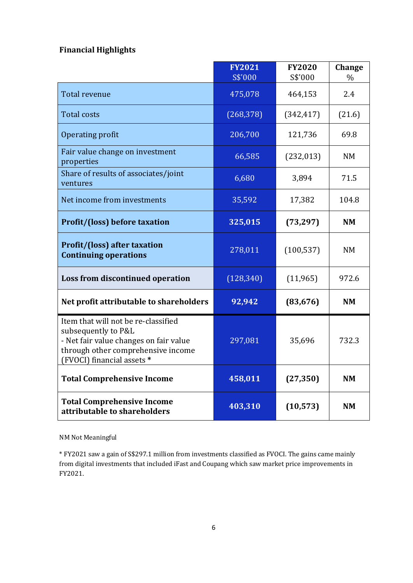# **Financial Highlights**

|                                                                                                                                                                          | <b>FY2021</b><br>S\$'000 | <b>FY2020</b><br>S\$'000 | <b>Change</b><br>$\%$ |
|--------------------------------------------------------------------------------------------------------------------------------------------------------------------------|--------------------------|--------------------------|-----------------------|
| Total revenue                                                                                                                                                            | 475,078                  | 464,153                  | 2.4                   |
| <b>Total costs</b>                                                                                                                                                       | (268, 378)               | (342, 417)               | (21.6)                |
| Operating profit                                                                                                                                                         | 206,700                  | 121,736                  | 69.8                  |
| Fair value change on investment<br>properties                                                                                                                            | 66,585                   | (232, 013)               | <b>NM</b>             |
| Share of results of associates/joint<br>ventures                                                                                                                         | 6,680                    | 3,894                    | 71.5                  |
| Net income from investments                                                                                                                                              | 35,592                   | 17,382                   | 104.8                 |
| <b>Profit/(loss) before taxation</b>                                                                                                                                     | 325,015                  | (73, 297)                | <b>NM</b>             |
| <b>Profit/(loss) after taxation</b><br><b>Continuing operations</b>                                                                                                      | 278,011                  | (100, 537)               | <b>NM</b>             |
| Loss from discontinued operation                                                                                                                                         | (128, 340)               | (11, 965)                | 972.6                 |
| Net profit attributable to shareholders                                                                                                                                  | 92,942                   | (83, 676)                | <b>NM</b>             |
| Item that will not be re-classified<br>subsequently to P&L<br>- Net fair value changes on fair value<br>through other comprehensive income<br>(FVOCI) financial assets * | 297,081                  | 35,696                   | 732.3                 |
| <b>Total Comprehensive Income</b>                                                                                                                                        | 458,011                  | (27, 350)                | <b>NM</b>             |
| <b>Total Comprehensive Income</b><br>attributable to shareholders                                                                                                        | 403,310                  | (10, 573)                | <b>NM</b>             |

NM Not Meaningful

\* FY2021 saw a gain of S\$297.1 million from investments classified as FVOCI. The gains came mainly from digital investments that included iFast and Coupang which saw market price improvements in FY2021.